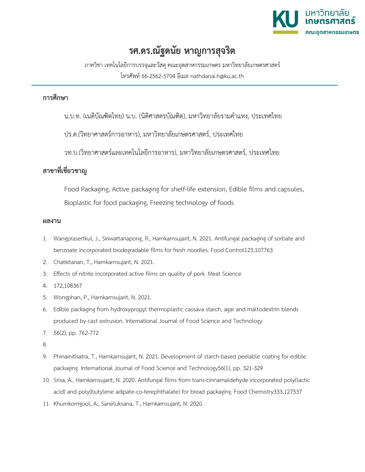

## **รศ.ดร.ณัฐดนัย หาญการสุจริต**

ภาควิชา เทคโนโลยีการบรรจุและวัสดุคณะอุตสาหกรรมเกษตร มหาวิทยาลัยเกษตรศาสตร โทรศัพท 66-2562-5704 อีเมล nathdanai.h@ku.ac.th

## **การศึกษา**

น.บ.ท. (เนติบัณฑิตไทย) น.บ. (นิติศาสตรบัณฑิต), มหาวิทยาลัยรามคำแหง, ประเทศไทย

ปร.ด.(วิทยาศาสตรการอาหาร), มหาวิทยาลัยเกษตรศาสตร, ประเทศไทย

วท.บ.(วิทยาศาสตรและเทคโนโลยีการอาหาร), มหาวิทยาลัยเกษตรศาสตร, ประเทศไทย

## **สาขาที่เชี่ยวชาญ**

Food Packaging, Active packaging for shelf-life extension, Edible films and capsules, Bioplastic for food packaging, Freezing technology of foods

## **ผลงาน**

- 1. Wangprasertkul, J., Siriwattanapong, R., Harnkarnsujarit, N. 2021. Antifungal packaging of sorbate and benzoate incorporated biodegradable films for fresh noodles. Food Control123,107763
- 2. Chatkitanan, T., Harnkarnsujarit, N. 2021.
- 3. Effects of nitrite incorporated active films on quality of pork. Meat Science
- 4. 172,108367
- 5. Wongphan, P., Harnkarnsujarit, N. 2021.
- 6. Edible packaging from hydroxypropyl thermoplastic cassava starch, agar and maltodextrin blends produced by cast extrusion. International Journal of Food Science and Technology
- 7. 56(2), pp. 762-772
- 8.
- 9. Phinainitisatra, T., Harnkarnsujarit, N. 2021. Development of starch-based peelable coating for edible packaging. International Journal of Food Science and Technology56(1), pp. 321-329
- 10. Srisa, A., Harnkarnsujarit, N. 2020. Antifungal films from trans-cinnamaldehyde incorporated poly(lactic acid) and poly(butylene adipate-co-terephthalate) for bread packaging. Food Chemistry333,127537
- 11. Khumkomgool, A., Saneluksana, T., Harnkarnsujarit, N. 2020.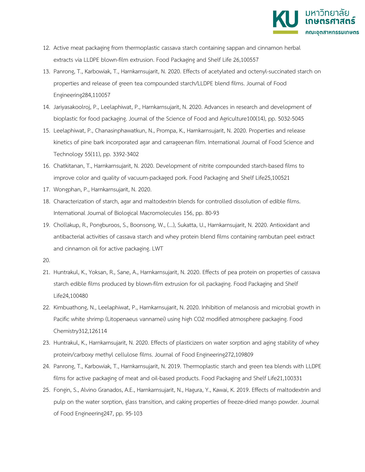

- 12. Active meat packaging from thermoplastic cassava starch containing sappan and cinnamon herbal extracts via LLDPE blown-film extrusion. Food Packaging and Shelf Life 26,100557
- 13. Panrong, T., Karbowiak, T., Harnkarnsujarit, N. 2020. Effects of acetylated and octenyl-succinated starch on properties and release of green tea compounded starch/LLDPE blend films. Journal of Food Engineering284,110057
- 14. Jariyasakoolroj, P., Leelaphiwat, P., Harnkarnsujarit, N. 2020. Advances in research and development of bioplastic for food packaging. Journal of the Science of Food and Agriculture100(14), pp. 5032-5045
- 15. Leelaphiwat, P., Chanasinphawatkun, N., Prompa, K., Harnkarnsujarit, N. 2020. Properties and release kinetics of pine bark incorporated agar and carrageenan film. International Journal of Food Science and Technology 55(11), pp. 3392-3402
- 16. Chatkitanan, T., Harnkarnsujarit, N. 2020. Development of nitrite compounded starch-based films to improve color and quality of vacuum-packaged pork. Food Packaging and Shelf Life25,100521
- 17. Wongphan, P., Harnkarnsujarit, N. 2020.
- 18. Characterization of starch, agar and maltodextrin blends for controlled dissolution of edible films. International Journal of Biological Macromolecules 156, pp. 80-93
- 19. Chollakup, R., Pongburoos, S., Boonsong, W., (...), Sukatta, U., Harnkarnsujarit, N. 2020. Antioxidant and antibacterial activities of cassava starch and whey protein blend films containing rambutan peel extract and cinnamon oil for active packaging. LWT
- 20.
- 21. Huntrakul, K., Yoksan, R., Sane, A., Harnkarnsujarit, N. 2020. Effects of pea protein on properties of cassava starch edible films produced by blown-film extrusion for oil packaging. Food Packaging and Shelf Life24,100480
- 22. Kimbuathong, N., Leelaphiwat, P., Harnkarnsujarit, N. 2020. Inhibition of melanosis and microbial growth in Pacific white shrimp (Litopenaeus vannamei) using high CO2 modified atmosphere packaging. Food Chemistry312,126114
- 23. Huntrakul, K., Harnkarnsujarit, N. 2020. Effects of plasticizers on water sorption and aging stability of whey protein/carboxy methyl cellulose films. Journal of Food Engineering272,109809
- 24. Panrong, T., Karbowiak, T., Harnkarnsujarit, N. 2019. Thermoplastic starch and green tea blends with LLDPE films for active packaging of meat and oil-based products. Food Packaging and Shelf Life21,100331
- 25. Fongin, S., Alvino Granados, A.E., Harnkarnsujarit, N., Hagura, Y., Kawai, K. 2019. Effects of maltodextrin and pulp on the water sorption, glass transition, and caking properties of freeze-dried mango powder. Journal of Food Engineering247, pp. 95-103